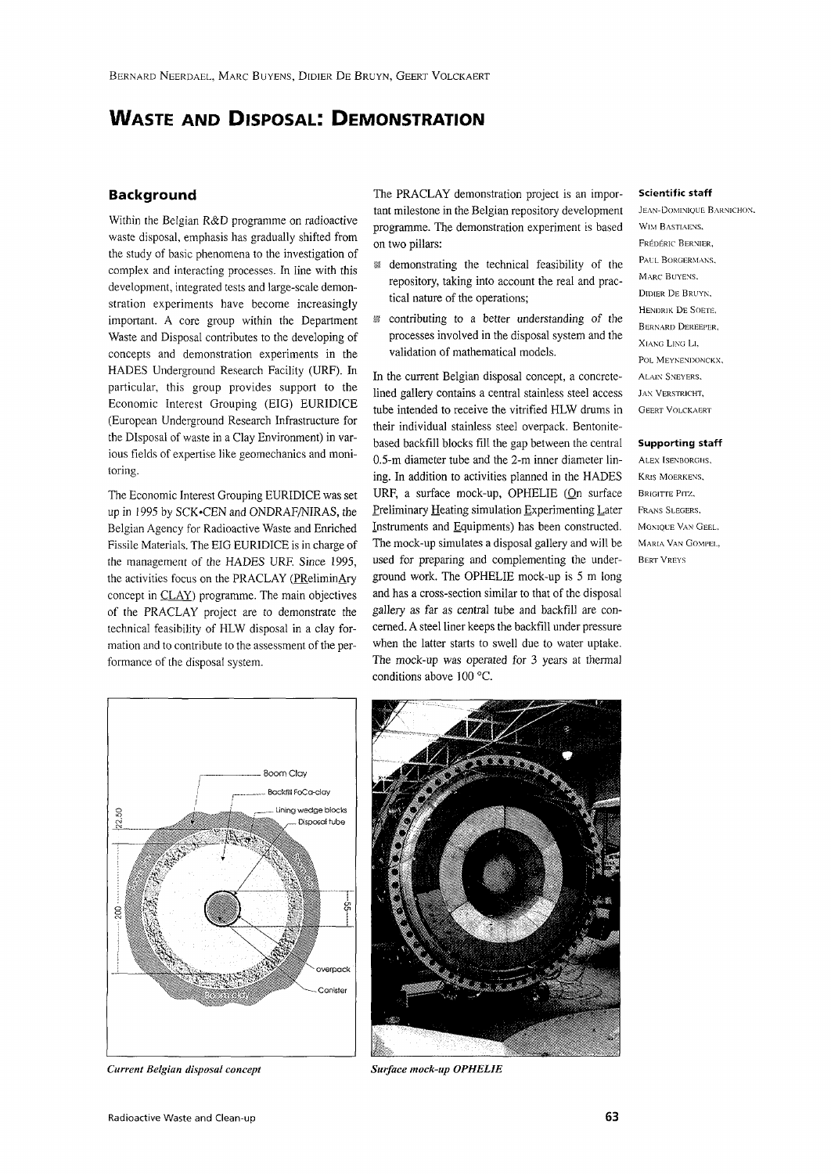# **WASTE AND DISPOSAL: DEMONSTRATION**

### **Background**

Within the Belgian R&D programme on radioactive waste disposal, emphasis has gradually shifted from the study of basic phenomena to the investigation of complex and interacting processes. In line with this development, integrated tests and large-scale demonstration experiments have become increasingly important. A core group within the Department Waste and Disposal contributes to the developing of concepts and demonstration experiments in the HADES Underground Research Facility (URF). In particular, this group provides support to the Economic Interest Grouping (EIG) EURIDICE (European Underground Research Infrastructure for the Disposal of waste in a Clay Environment) in various fields of expertise like geomechanics and monitoring.

The Economic Interest Grouping EURIDICE was set up in 1995 by SCK-CEN and ONDRAF/NIRAS, the Belgian Agency for Radioactive Waste and Enriched Fissile Materials. The EIG EURIDICE is in charge of the management of the HADES URF. Since 1995, the activities focus on the PRACLAY (PReliminAry concept in CLAY) programme. The main objectives of the PRACLAY project are to demonstrate the technical feasibility of HLW disposal in a clay formation and to contribute to the assessment of the performance of the disposal system.

The PRACLAY demonstration project is an important milestone in the Belgian repository development programme. The demonstration experiment is based on two pillars:

- 1 demonstrating the technical feasibility of the repository, taking into account the real and practical nature of the operations;
- $\mathbb{S}$  contributing to a better understanding of the processes involved in the disposal system and the validation of mathematical models.

In the current Belgian disposal concept, a concretelined gallery contains a central stainless steel access tube intended to receive the vitrified HLW drums in their individual stainless steel overpack. Bentonitebased backfill blocks fill the gap between the central 0.5-m diameter tube and the 2-m inner diameter lining. In addition to activities planned in the HADES URF, a surface mock-up, OPHELIE (On surface Preliminary Heating simulation Experimenting Later Instruments and Equipments) has been constructed. The mock-up simulates a disposal gallery and will be used for preparing and complementing the underground work. The OPHELIE mock-up is 5 m long and has a cross-section similar to that of the disposal gallery as far as central tube and backfill are concerned. A steel liner keeps the backfill under pressure when the latter starts to swell due to water uptake. The mock-up was operated for 3 years at thermal conditions above 100 °C.

#### **Scientific staff**

JEAN-DOMINIQUE BARNICHON. WIM RASTIAENS. FREDERIC BERNIER, PAUL BORGERMANS, MARC BUYENS. DIDIER DE BRUYN, HENDRIK DE SOETE, BERNARD DEREEPER. XIANG LING Li. POL MEYNENDONCKX, ALAIN SNEYERS. JAN VERSTRICHT, GEERT VOLCKAERT

#### **Supporting** staff

ALEX ISENBOROHS, KRIS MOERKENS, **BRIGITTE PITZ,** FRANS SLEOERS, MONIQL'E VAN GEEL. MARIA VAN COMPEL, BERTVREYS



*Current Belgian disposal concept Surface mock-up OPHELJE*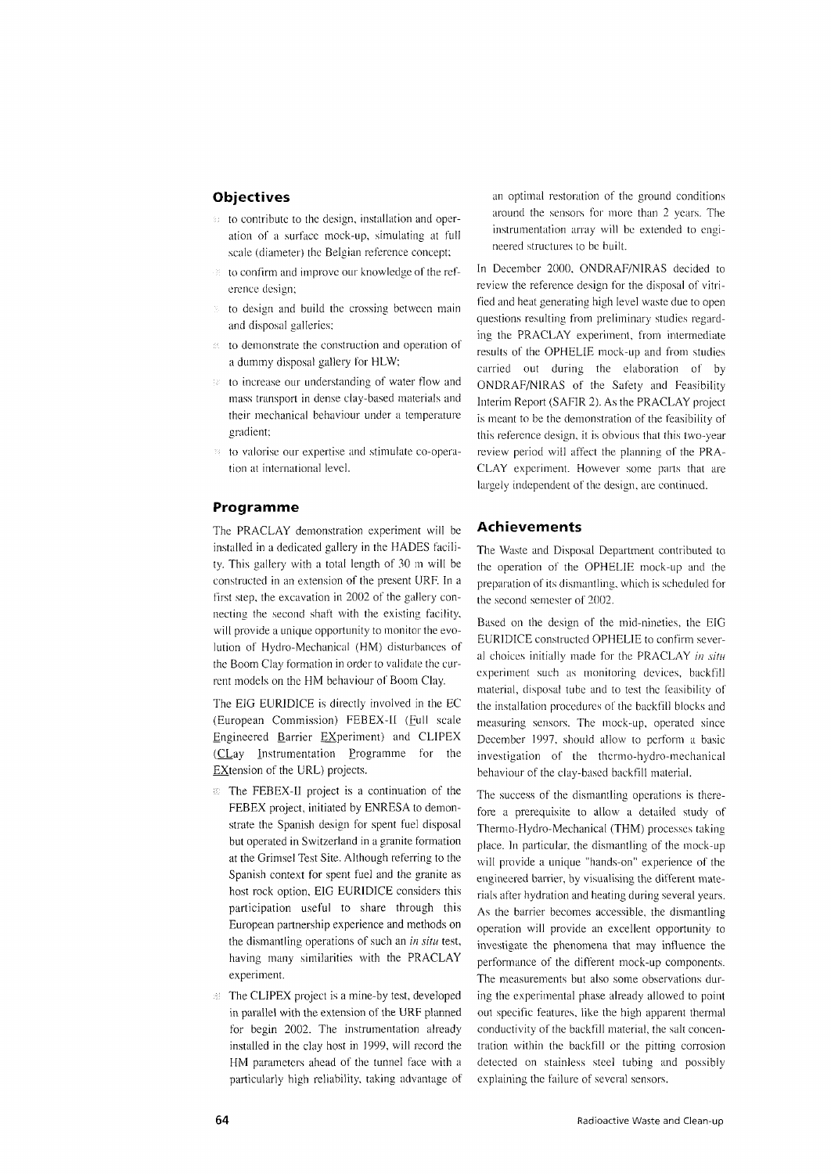## **Objectives**

- : to contribute to the design, installation and operation of a surface mock-up, simulating at full scale (diameter) the Belgian reference concept:
- to confirm and improve our knowledge of the reference design;
- to design and build the crossing between main and disposal galleries;
- $\in$  to demonstrate the construction and operation of a dummy disposal gallery tor HLW;
- to increase our understanding of water flow and  $\pm 50$ mass transport in dense clay-based materials and their mechanical behaviour under a temperature gradient;
- to valorise our expertise and stimulate co-operation at international level.

## **Programme**

The PRACLAY demonstration experiment will be installed in a dedicated gallery in the HADES facility. This gallery with a total length of 30 m will be constructed in an extension of the present URF. In a first step, the excavation in 2002 of the gallery connecting the second shaft with the existing facility, will provide a unique opportunity to monitor the evolution of Hydro-Mechanical (HM) disturbances of the Boom Clay formation in order to validate the current models on the HM behaviour of Boom Clay.

The EIG EURID1CE is directly involved in the EC (European Commission) FEBEX-II (Full scale Engineered Barrier Experiment) and CLIPEX (CLay instrumentation Programme for the Extension of the URL) projects.

- **EX-U** project is a continuation of the FEBEX project, initiated by ENRESA to demonstrate the Spanish design for spent fuel disposal but operated in Switzerland in a granite formation at the Grimsel Test Site. Although referring to the Spanish context for spent fuel and the granite as host rock option, EIG EURIDICE considers this participation useful to share through this European partnership experience and methods on the dismantling operations of such an *in situ* test, having many similarities with the PRACLAY experiment.
- **EX**: The CLIPEX project is a mine-by test, developed in parallel with the extension of the URF planned for begin 2002. The instrumentation already installed in the clay host in 1999, will record the HM parameters ahead of the tunnel face with a particularly high reliability, taking advantage of

an optimal restoration of the ground conditions around the sensors for more than 2 years. The instrumentation array will be extended to engineered structures to be built.

In December 2000, ONDRAF/NIRAS decided to review the reference design for the disposal of vitrified and heat generating high level waste due to open questions resulting from preliminary studies regarding the PRACLAY experiment, from intermediate results of the OPHELIE mock-up and from studies carried out during the elaboration of by ONDRAF/NIRAS of the Safety and Feasibility Interim Report (SAFIR 2). As the PRACLAY project is meant to be the demonstration of the feasibility of this reference design, it is obvious that this two-year review period will affect the planning of the PRA-CLAY experiment. However some parts that are largely independent of the design, are continued.

## **Achievements**

The Waste and Disposal Department contributed to the operation of the OPHELIE mock-up and the preparation of its dismantling, which is scheduled for the second semester of 2002.

Based on the design of the mid-nineties, the EIG EURIDICE constructed OPHELIE to confirm several choices initially made for the PRACLAY *in situ* experiment such as monitoring devices, backfill material, disposal tube and to test the feasibility of the installation procedures of the backfill blocks and measuring sensors. The mock-up, operated since December 1997, should allow to perform a basicinvestigation of the thermo-hydro-mechanical behaviour of the clay-based backfill material.

The success of the dismantling operations is therefore a prerequisite to allow a detailed study of Thermo-Hydro-Mechanical (THM) processes taking place. In particular, the dismantling of the mock-up will provide a unique "hands-on" experience of the engineered barrier, by visualising the different materials after hydration and heating during several years. As the barrier becomes accessible, the dismantling operation will provide an excellent opportunity to investigate the phenomena that may influence the performance of the different mock-up components. The measurements but also some observations during the experimental phase already allowed to point out specific features, like the high apparent thermal conductivity of the backfill material, the salt concentration within the backfill or the pitting corrosion detected on stainless steel tubing and possibly explaining the failure of several sensors.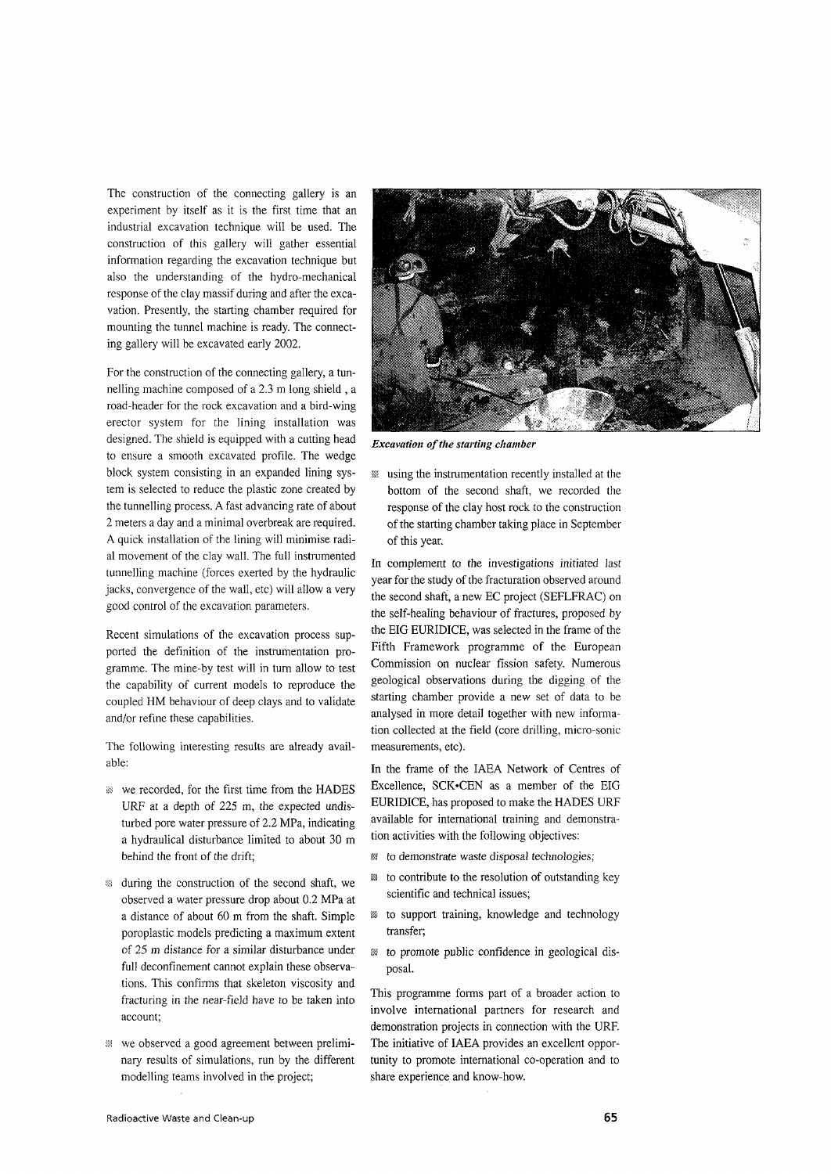The construction of the connecting gallery is an experiment by itself as it is the first time that an industrial excavation technique will be used. The construction of this gallery will gather essential information regarding the excavation technique but also the understanding of the hydro-mechanical response of the clay massif during and after the excavation. Presently, the starting chamber required for mounting the tunnel machine is ready. The connecting gallery will be excavated early 2002.

For the construction of the connecting gallery, a tunnelling machine composed of a 2.3 m long shield , a road-header for the rock excavation and a bird-wing erector system for the lining installation was designed. The shield is equipped with a cutting head to ensure a smooth excavated profile. The wedge block system consisting in an expanded lining system is selected to reduce the plastic zone created by the tunnelling process. A fast advancing rate of about 2 meters a day and a minimal overbreak are required. A quick installation of the lining will minimise radial movement of the clay wall. The full instrumented tunnelling machine (forces exerted by the hydraulic jacks, convergence of the wall, etc) will allow a very good control of the excavation parameters.

Recent simulations of the excavation process supported the definition of the instrumentation programme. The mine-by test will in turn allow to test the capability of current models to reproduce the coupled HM behaviour of deep clays and to validate and/or refine these capabilities.

The following interesting results are already available:

- **We recorded, for the first time from the HADES** URF at a depth of 225 m, the expected undisturbed pore water pressure of 2.2 MPa, indicating a hydraulical disturbance limited to about 30 m behind the front of the drift;
- ss during the construction of the second shaft, we observed a water pressure drop about 0.2 MPa at a distance of about 60 m from the shaft. Simple poroplastic models predicting a maximum extent of 25 m distance for a similar disturbance under full deconfinement cannot explain these observations. This confirms that skeleton viscosity and fracturing in the near-field have to be taken into account;
- w we observed a good agreement between preliminary results of simulations, run by the different modelling teams involved in the project;



*Excavation of the starting chamber*

 $\mathbb{R}$  using the instrumentation recently installed at the bottom of the second shaft, we recorded the response of the clay host rock to the construction of the starting chamber taking place in September of this year.

In complement to the investigations initiated last year for the study of the fracturation observed around the second shaft, a new EC project (SEFLFRAC) on the self-healing behaviour of fractures, proposed by the BIG EURIDICE, was selected in the frame of the Fifth Framework programme of the European Commission on nuclear fission safety. Numerous geological observations during the digging of the starting chamber provide a new set of data to be analysed in more detail together with new information collected at the field (core drilling, micro-sonic measurements, etc).

In the frame of the IAEA Network of Centres of Excellence, SCK-CEN as a member of the BIG EURIDICE, has proposed to make the HADES URF available for international training and demonstration activities with the following objectives:

- *m* to demonstrate waste disposal technologies;
- to contribute to the resolution of outstanding key scientific and technical issues;
- ss to support training, knowledge and technology transfer;
- §5 to promote public confidence in geological disposal.

This programme forms part of a broader action to involve international partners for research and demonstration projects in connection with the URF. The initiative of IAEA provides an excellent opportunity to promote international co-operation and to share experience and know-how.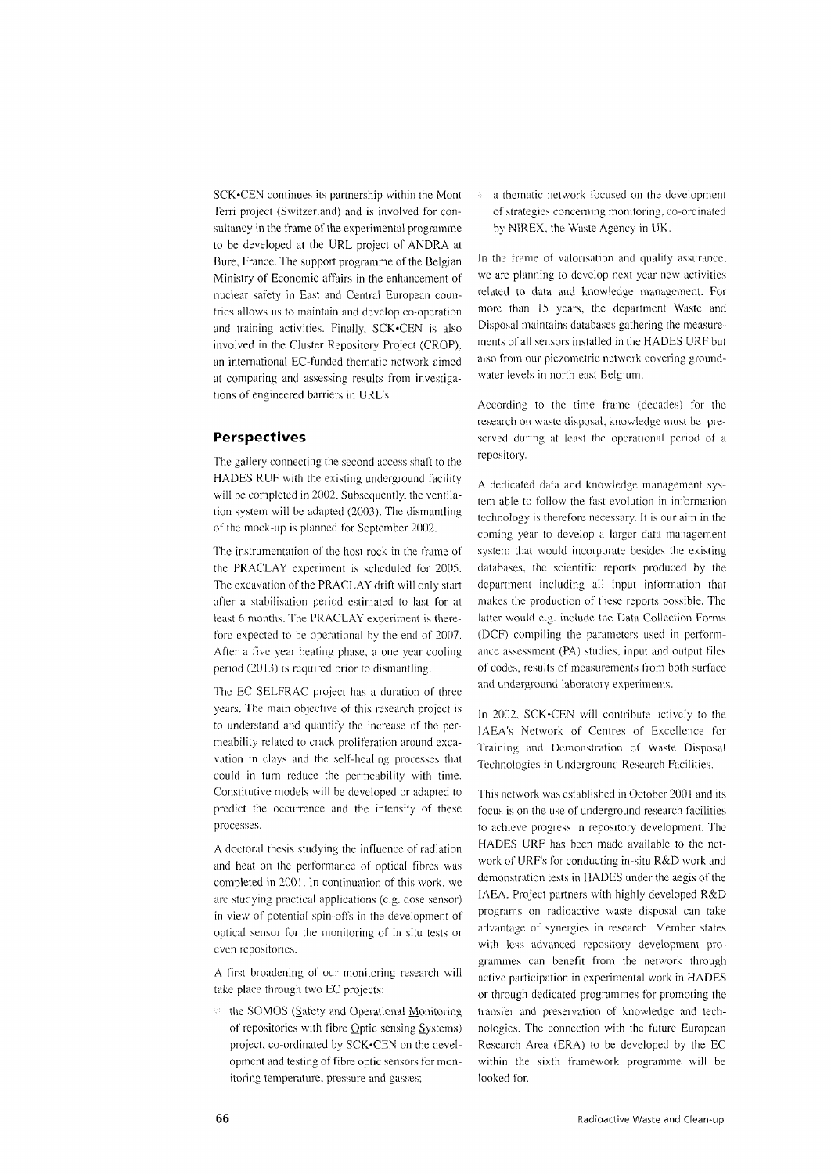SCK'CEN continues its partnership within the Mont Terri project (Switzerland) and is involved for consultancy in the frame of the experimental programme to be developed at the URL project of ANDRA at Bure, France. The support programme of the Belgian Ministry of Economic affairs in the enhancement of nuclear safety in East and Central European countries allows us to maintain and develop co-operation and training activities. Finally, SCK-CEN is also involved in the Cluster Repository Project (CROP), an international EC-funded thematic network aimed at comparing and assessing results from investigations of engineered barriers in URL's.

### **Perspectives**

The gallery connecting the second access shaft to the HADES RUF with the existing underground facility will be completed in 2002. Subsequently, the ventilation system will be adapted (2003). The dismantling of the mock-up is planned for September 2002.

The instrumentation of the host rock in the frame of the PRACLAY experiment is scheduled for 2005. The excavation of the PRACLAY drift will only start after a stabilisation period estimated to last for at least 6 months. The PRACLAY experiment is therefore expected to be operational by the end of 2007. After a five year heating phase, a one year cooling period (2013) is required prior to dismantling.

The EC SELFRAC project has a duration of three years. The main objective of this research project is to understand and quantify the increase of the permeability related to crack proliferation around excavation in clays and the self-healing processes that could in turn reduce the permeability with time. Constitutive models will be developed or adapted to predict the occurrence and the intensity of these processes.

A doctoral thesis studying the influence of radiation and heat on the performance of optical fibres was completed in 2001. In continuation of this work, we are studying practical applications (e.g. dose sensor) in view of potential spin-offs in the development of optical sensor for the monitoring of in situ tests or even repositories.

A first broadening of our monitoring research will take place through two EC projects:

 $\%$  the SOMOS (Safety and Operational Monitoring of repositories with fibre Optic sensing Systems) project, co-ordinated by SCK-CEN on the development and testing of fibre optic sensors for monitoring temperature, pressure and gasses;

<sup>33</sup> a thematic network focused on the development of strategies concerning monitoring, co-ordinated by N1REX, the Waste Agency in UK.

In the frame of valorisation and quality assurance, we are planning to develop next year new activities related to data and knowledge management. For more than 15 years, the department Waste and Disposal maintains databases gathering the measurements of all sensors installed in the HADES URF but also from our piezometric network covering groundwater levels in north-east Belgium.

According to the time frame (decades) for the research on waste disposal, knowledge must be preserved during at least the operational period of a repository.

A dedicated data and knowledge management system able to follow the fast evolution in information technology is therefore necessary. It is our aim in the coming year to develop a larger data management system that would incorporate besides the existing databases, the scientific reports produced by the department including all input information that makes the production of these reports possible. The latter would e.g. include the Data Collection Forms (DCF) compiling the parameters used in performance assessment (PA) studies, input and output files of codes, results of measurements from both surface and underground laboratory experiments.

In 2002, SCK.CEN will contribute actively to the IAEA's Network of Centres of Excellence for Training and Demonstration of Waste Disposal Technologies in Underground Research Facilities.

This network was established in October 2001 and its focus is on the use of underground research facilities to achieve progress in repository development. The HADES URF has been made available to the network of URF's for conducting in-situ R&D work and demonstration tests in HADES under the aegis of the IAEA. Project partners with highly developed R&D programs on radioactive waste disposal can take advantage of synergies in research. Member states with less advanced repository development programmes can benefit from the network through active participation in experimental work in HADES or through dedicated programmes for promoting the transfer and preservation of knowledge and technologies. The connection with the future European Research Area (ERA) to be developed by the EC within the sixth framework programme will be looked for.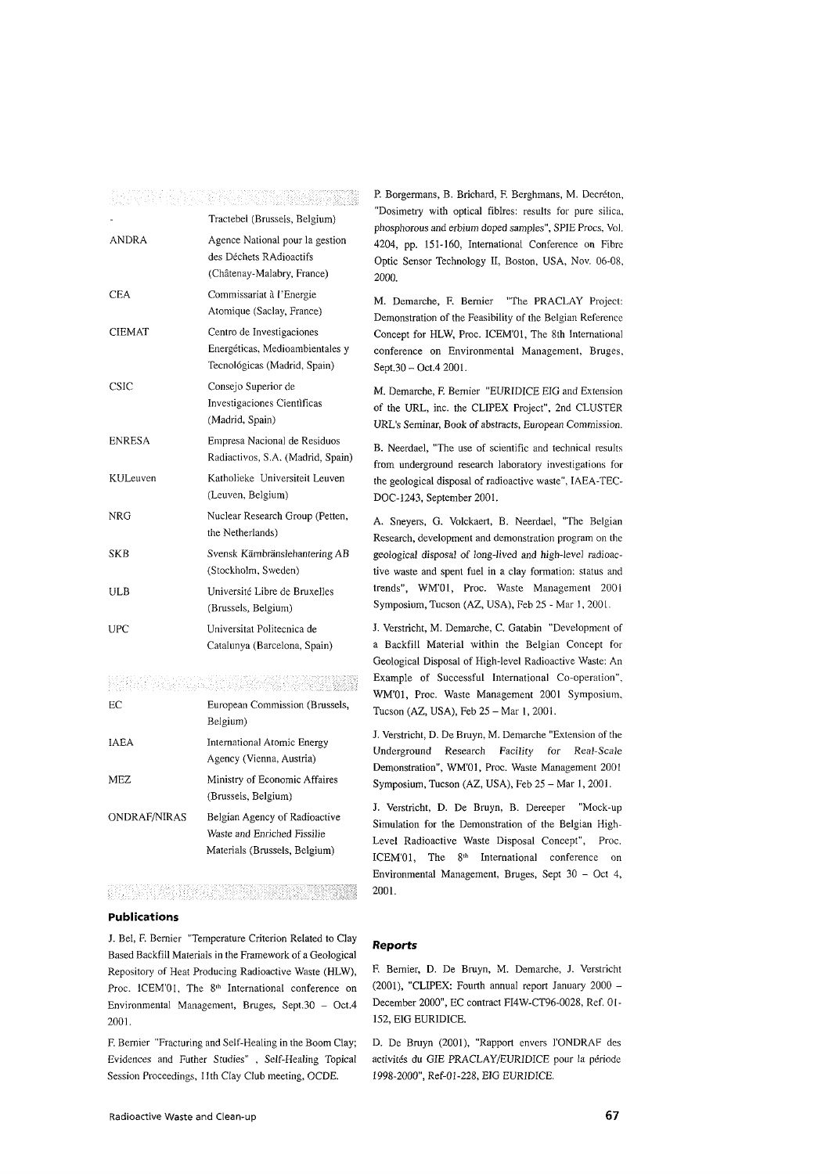## <u>e parti de la contra del propiedad de la p</u>

|               | Tractebel (Brussels, Belgium)                                                                |
|---------------|----------------------------------------------------------------------------------------------|
| <b>ANDRA</b>  | Agence National pour la gestion<br>des Déchets RAdioactifs<br>(Châtenay-Malabry, France)     |
| <b>CEA</b>    | Commissariat à l'Energie<br>Atomique (Saclay, France)                                        |
| <b>CIEMAT</b> | Centro de Investigaciones<br>Energéticas, Medioambientales y<br>Tecnológicas (Madrid, Spain) |
| <b>CSIC</b>   | Consejo Superior de<br>Investigaciones Científicas<br>(Madrid, Spain)                        |
| <b>ENRESA</b> | Empresa Nacional de Residuos<br>Radiactivos, S.A. (Madrid, Spain)                            |
| KULeuven      | Katholieke Universiteit Leuven<br>(Leuven, Belgium)                                          |
| NRG           | Nuclear Research Group (Petten,<br>the Netherlands)                                          |
| <b>SKB</b>    | Svensk Kärnbränslehantering AB<br>(Stockholm, Sweden)                                        |
| ULB           | Université Libre de Bruxelles<br>(Brussels, Belgium)                                         |
| UPC           | Universitat Politecnica de<br>Catalunya (Barcelona, Spain)                                   |

#### 2012년 1월 20일 : 10월 20일 10월 20일 10월 20일 10월 20일 10월 20일 10월 20일 10월 20일 10월 20일 10월 20일 10월 20일 10월 20일 10월 20일<br>대한민국의 대한민국의 대한민국의 대한민국의 대한민국의 대한민국의 대한민국의 대한민국의 대한민국의 대한민국의 대한민국의 대한민국의 대한민국의 대한민국의 대한민국의 대한민국의 대한민국의 대한민국의 대한

| EС           | European Commission (Brussels,<br>Belgium)                                                    |
|--------------|-----------------------------------------------------------------------------------------------|
| IAEA         | International Atomic Energy<br>Agency (Vienna, Austria)                                       |
| MEZ.         | Ministry of Economic Affaires<br>(Brussels, Belgium)                                          |
| ONDRAF/NIRAS | Belgian Agency of Radioactive<br>Waste and Enriched Fissilie<br>Materials (Brussels, Belgium) |

# **Publications**

J. Bel, F. Bernier "Temperature Criterion Related to Clay Based Backfill Materials in the Framework of a Geological Repository of Heat Producing Radioactive Waste (HLW), Proc. ICEM'01, The 8<sup>th</sup> International conference on Environmental Management, Bruges, Sept.30 - Oct.4 2001.

F. Bernier "Fracturing and Self-Healing in the Boom Clay; Evidences and Futher Studies" , Self-Healing Topical Session Proceedings, 11th Clay Club meeting, OCDE.

P. Borgermans, B. Brichard, F. Berghmans, M. Decréton, "Dosimetry with optical fiblres: results for pure silica. phosphorous and erbium doped samples", SPIE Procs, Vol. 4204, pp. 151-160, International Conference on Fibre Optic Sensor Technology II, Boston, USA, Nov. 06-08, 2000.

M. Demarche, F. Bernier "The PRACLAY Project: Demonstration of the Feasibility of the Belgian Reference Concept for HLW, Proc. ICEM'Ol, The 8th International conference on Environmental Management, Bruges, Sept.30-Oct.4 2001.

M. Demarche, F. Bernier "EURIDICE EIG and Extension of the URL, inc. the CLIPEX Project", 2nd CLUSTER URL's Seminar, Book of abstracts, European Commission.

B. Neerdael, "The use of scientific and technical results from underground research laboratory investigations for the geological disposal of radioactive waste", IAEA-TEC-DOC-1243, September 2001.

A. Sneyers, G. Volckaert, B. Neerdael, "The Belgian Research, development and demonstration program on the geological disposal of long-lived and high-level radioactive waste and spent fuel in a clay formation: status and trends", WM'Ol, Proc. Waste Management 2001 Symposium, Tucson (AZ, USA), Feb 25 - Mar 1, 2001.

J. Verstricht, M. Demarche, C. Gatabin "Development of a Backfill Material within the Belgian Concept for Geological Disposal of High-level Radioactive Waste: An Example of Successful International Co-operation", WM'Ol, Proc. Waste Management 2001 Symposium, Tucson (AZ, USA), Feb 25 - Mar 1, 2001.

J. Verstricht, D. De Bruyn, M. Demarche "Extension of the Underground Research Facility for Real-Scale Demonstration", WM'Ol, Proc. Waste Management 2001 Symposium, Tucson (AZ, USA), Feb 25 - Mar 1, 2001.

J. Verstricht, D. De Bruyn, B. Dereeper "Mock-up Simulation for the Demonstration of the Belgian High-Level Radioactive Waste Disposal Concept", Proc. ICEM'01, The 8<sup>th</sup> International conference on Environmental Management, Bruges, Sept 30 - Oct 4, 2001.

#### **Reports**

F. Bernier, D. De Bruyn, M. Demarche, J. Verstricht (2001), "CLIPEX: Fourth annual report January 2000 -December 2000", EC contract FI4W-CT96-0028, Ref. 01- 152, EIG EURIDICE.

D. De Bruyn (2001), "Rapport envers 1'ONDRAF des activités du GIE PRACLAY/EURIDICE pour la période 1998-2000", Ref-01-228, EIG EURIDICE.